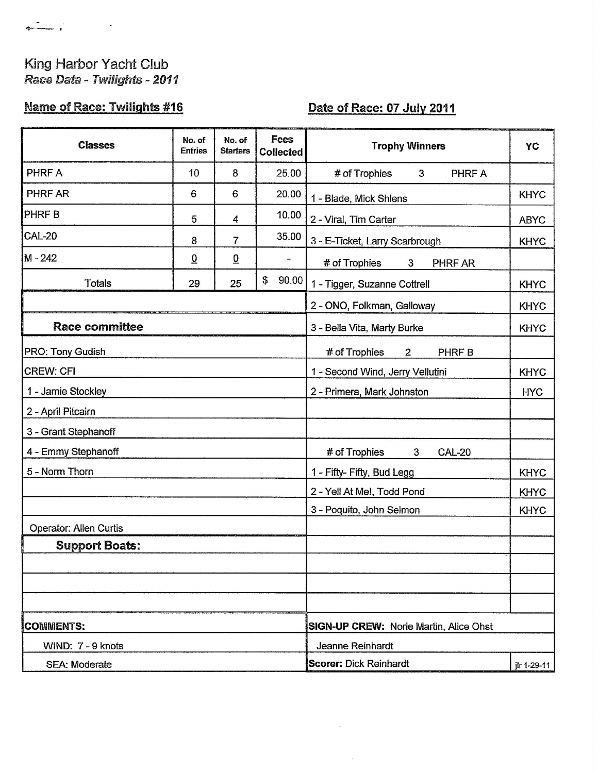## King Harbor Yacht Club Race Data - Twilights - 2011

## **Name of Race: Twilights #16**

## Date of Race: 07 July 2011

| <b>Classes</b>         | No. of<br><b>Entries</b> | No. of<br><b>Starters</b> | Fees<br><b>Collected</b>                      | <b>Trophy Winners</b>                           | YC          |  |
|------------------------|--------------------------|---------------------------|-----------------------------------------------|-------------------------------------------------|-------------|--|
| PHRF A                 | 10                       | 8                         | 25.00                                         | # of Trophies<br>3 <sup>1</sup><br>PHRF A       |             |  |
| PHRF AR                | 6                        | 6                         | 20.00                                         | 1 - Blade, Mick Shlens                          | <b>KHYC</b> |  |
| <b>PHRFB</b>           | 5                        | 4                         | 10.00                                         | 2 - Viral, Tim Carter                           | <b>ABYC</b> |  |
| <b>CAL-20</b>          | 8                        | $\overline{7}$            | 35.00                                         | 3 - E-Ticket, Larry Scarbrough                  | <b>KHYC</b> |  |
| M - 242                | $\overline{0}$           | $\overline{0}$            | $\qquad \qquad \blacksquare$                  | # of Trophies<br>$\mathbf{3}$<br>PHRF AR        |             |  |
| <b>Totals</b>          | 29                       | 25                        | \$<br>90.00                                   | 1 - Tigger, Suzanne Cottrell                    | <b>KHYC</b> |  |
|                        |                          |                           |                                               | 2 - ONO, Folkman, Galloway                      | <b>KHYC</b> |  |
| <b>Race committee</b>  |                          |                           | 3 - Bella Vita, Marty Burke                   | <b>KHYC</b>                                     |             |  |
| PRO: Tony Gudish       |                          |                           |                                               | # of Trophies<br><b>PHRFB</b><br>$\overline{2}$ |             |  |
| <b>CREW: CFI</b>       |                          |                           | 1 - Second Wind, Jerry Vellutini              | <b>KHYC</b>                                     |             |  |
| 1 - Jamie Stockley     |                          |                           | 2 - Primera, Mark Johnston                    | <b>HYC</b>                                      |             |  |
| 2 - April Pitcairn     |                          |                           |                                               |                                                 |             |  |
| 3 - Grant Stephanoff   |                          |                           |                                               |                                                 |             |  |
| 4 - Emmy Stephanoff    |                          |                           |                                               | <b>CAL-20</b><br># of Trophies<br>3             |             |  |
| 5 - Norm Thorn         |                          |                           |                                               | 1 - Fifty- Fifty, Bud Legg                      | <b>KHYC</b> |  |
|                        |                          |                           |                                               | 2 - Yell At Me!, Todd Pond                      | <b>KHYC</b> |  |
|                        |                          |                           |                                               | 3 - Poquito, John Selmon                        | <b>KHYC</b> |  |
| Operator: Allen Curtis |                          |                           |                                               |                                                 |             |  |
| <b>Support Boats:</b>  |                          |                           |                                               |                                                 |             |  |
|                        |                          |                           |                                               |                                                 |             |  |
|                        |                          |                           |                                               |                                                 |             |  |
|                        |                          |                           |                                               |                                                 |             |  |
| <b>COMMENTS:</b>       |                          |                           | <b>SIGN-UP CREW: Norie Martin, Alice Ohst</b> |                                                 |             |  |
| WIND: 7 - 9 knots      |                          |                           | Jeanne Reinhardt                              |                                                 |             |  |
| <b>SEA: Moderate</b>   |                          |                           |                                               | <b>Scorer: Dick Reinhardt</b><br>jlr 1-29-11    |             |  |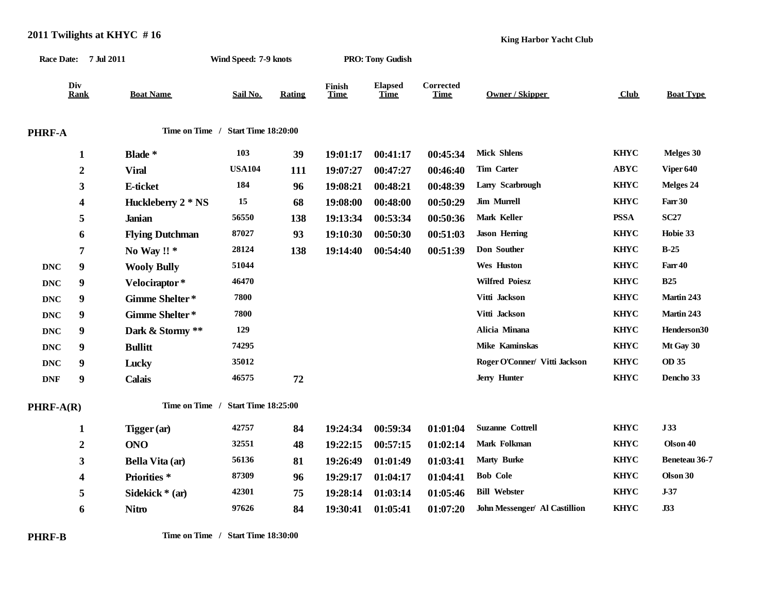|            |                  | Race Date: 7 Jul 2011  | Wind Speed: 7-9 knots              |               |                       | <b>PRO: Tony Gudish</b> |                          |                               |             |                  |
|------------|------------------|------------------------|------------------------------------|---------------|-----------------------|-------------------------|--------------------------|-------------------------------|-------------|------------------|
|            | Div<br>Rank      | <b>Boat Name</b>       | Sail No.                           | <b>Rating</b> | Finish<br><b>Time</b> | <b>Elapsed</b><br>Time  | Corrected<br><b>Time</b> | <b>Owner / Skipper</b>        | Club        | <b>Boat Type</b> |
| PHRF-A     |                  |                        | Time on Time / Start Time 18:20:00 |               |                       |                         |                          |                               |             |                  |
|            | 1                | Blade *                | 103                                | 39            | 19:01:17              | 00:41:17                | 00:45:34                 | <b>Mick Shlens</b>            | <b>KHYC</b> | Melges 30        |
|            | $\boldsymbol{2}$ | <b>Viral</b>           | <b>USA104</b>                      | 111           | 19:07:27              | 00:47:27                | 00:46:40                 | Tim Carter                    | <b>ABYC</b> | Viper 640        |
|            | 3                | E-ticket               | 184                                | 96            | 19:08:21              | 00:48:21                | 00:48:39                 | Larry Scarbrough              | <b>KHYC</b> | Melges 24        |
|            | 4                | Huckleberry 2 * NS     | 15                                 | 68            | 19:08:00              | 00:48:00                | 00:50:29                 | Jim Murrell                   | <b>KHYC</b> | Farr 30          |
|            | 5                | <b>Janian</b>          | 56550                              | 138           | 19:13:34              | 00:53:34                | 00:50:36                 | Mark Keller                   | <b>PSSA</b> | <b>SC27</b>      |
|            | 6                | <b>Flying Dutchman</b> | 87027                              | 93            | 19:10:30              | 00:50:30                | 00:51:03                 | <b>Jason Herring</b>          | <b>KHYC</b> | Hobie 33         |
|            | 7                | No Way !! $*$          | 28124                              | 138           | 19:14:40              | 00:54:40                | 00:51:39                 | Don Souther                   | <b>KHYC</b> | $B-25$           |
| <b>DNC</b> | 9                | <b>Wooly Bully</b>     | 51044                              |               |                       |                         |                          | <b>Wes Huston</b>             | <b>KHYC</b> | Farr 40          |
| <b>DNC</b> | 9                | Velociraptor*          | 46470                              |               |                       |                         |                          | <b>Wilfred Poiesz</b>         | <b>KHYC</b> | <b>B25</b>       |
| <b>DNC</b> | 9                | Gimme Shelter*         | 7800                               |               |                       |                         |                          | Vitti Jackson                 | <b>KHYC</b> | Martin 243       |
| <b>DNC</b> | 9                | Gimme Shelter*         | 7800                               |               |                       |                         |                          | Vitti Jackson                 | <b>KHYC</b> | Martin 243       |
| <b>DNC</b> | 9                | Dark & Stormy **       | 129                                |               |                       |                         |                          | Alicia Minana                 | <b>KHYC</b> | Henderson30      |
| <b>DNC</b> | 9                | <b>Bullitt</b>         | 74295                              |               |                       |                         |                          | Mike Kaminskas                | <b>KHYC</b> | Mt Gay 30        |
| <b>DNC</b> | 9                | Lucky                  | 35012                              |               |                       |                         |                          | Roger O'Conner/ Vitti Jackson | <b>KHYC</b> | OD 35            |
| <b>DNF</b> | 9                | <b>Calais</b>          | 46575                              | 72            |                       |                         |                          | <b>Jerry Hunter</b>           | <b>KHYC</b> | Dencho 33        |
| PHRF-A(R)  |                  |                        | Time on Time / Start Time 18:25:00 |               |                       |                         |                          |                               |             |                  |
|            | 1                | Tigger (ar)            | 42757                              | 84            | 19:24:34              | 00:59:34                | 01:01:04                 | <b>Suzanne Cottrell</b>       | <b>KHYC</b> | <b>J33</b>       |
|            | $\boldsymbol{2}$ | <b>ONO</b>             | 32551                              | 48            | 19:22:15              | 00:57:15                | 01:02:14                 | Mark Folkman                  | <b>KHYC</b> | Olson 40         |
|            | 3                | Bella Vita (ar)        | 56136                              | 81            | 19:26:49              | 01:01:49                | 01:03:41                 | <b>Marty Burke</b>            | <b>KHYC</b> | Beneteau 36-7    |
|            | 4                | <b>Priorities</b> *    | 87309                              | 96            | 19:29:17              | 01:04:17                | 01:04:41                 | <b>Bob Cole</b>               | <b>KHYC</b> | Olson 30         |
|            | 5                | Sidekick * (ar)        | 42301                              | 75            | 19:28:14              | 01:03:14                | 01:05:46                 | <b>Bill Webster</b>           | <b>KHYC</b> | $J-37$           |
|            | 6                | <b>Nitro</b>           | 97626                              | 84            | 19:30:41              | 01:05:41                | 01:07:20                 | John Messenger/ Al Castillion | <b>KHYC</b> | J33              |

## **2011 Twilights at KHYC # 16**

**King Harbor Yacht Club**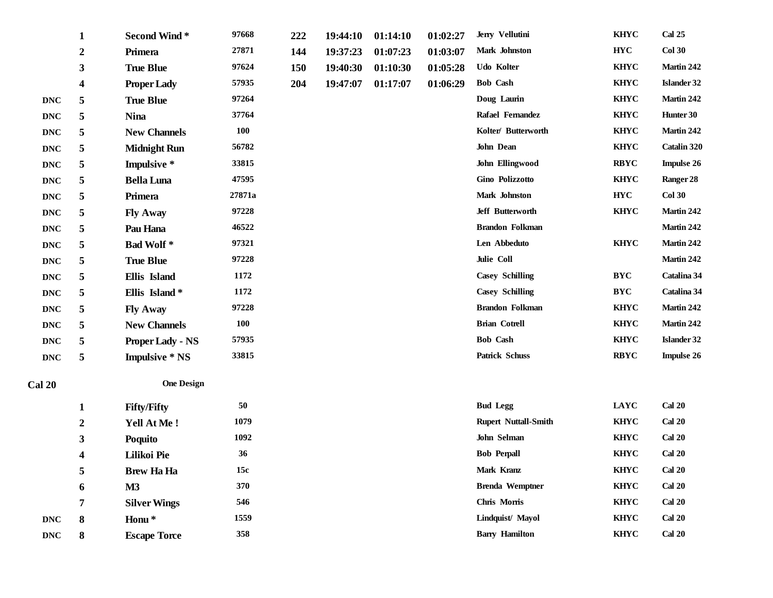|                |                  |                         | 97668      |     |          |          |          |                             | <b>KHYC</b> | <b>Cal 25</b>      |
|----------------|------------------|-------------------------|------------|-----|----------|----------|----------|-----------------------------|-------------|--------------------|
|                | $\mathbf{1}$     | <b>Second Wind*</b>     |            | 222 | 19:44:10 | 01:14:10 | 01:02:27 | Jerry Vellutini             |             |                    |
|                | $\boldsymbol{2}$ | Primera                 | 27871      | 144 | 19:37:23 | 01:07:23 | 01:03:07 | Mark Johnston               | <b>HYC</b>  | Col 30             |
|                | $\mathbf{3}$     | <b>True Blue</b>        | 97624      | 150 | 19:40:30 | 01:10:30 | 01:05:28 | Udo Kolter                  | <b>KHYC</b> | Martin 242         |
|                | 4                | <b>Proper Lady</b>      | 57935      | 204 | 19:47:07 | 01:17:07 | 01:06:29 | <b>Bob Cash</b>             | <b>KHYC</b> | <b>Islander 32</b> |
| <b>DNC</b>     | 5                | <b>True Blue</b>        | 97264      |     |          |          |          | Doug Laurin                 | <b>KHYC</b> | Martin 242         |
| <b>DNC</b>     | 5                | <b>Nina</b>             | 37764      |     |          |          |          | Rafael Femandez             | <b>KHYC</b> | Hunter 30          |
| $\mathbf{DNC}$ | 5                | <b>New Channels</b>     | 100        |     |          |          |          | Kolter/ Butterworth         | <b>KHYC</b> | Martin 242         |
| $\mathbf{DNC}$ | 5                | <b>Midnight Run</b>     | 56782      |     |          |          |          | John Dean                   | <b>KHYC</b> | Catalin 320        |
| $\mathbf{DNC}$ | 5                | Impulsive *             | 33815      |     |          |          |          | John Ellingwood             | <b>RBYC</b> | <b>Impulse 26</b>  |
| <b>DNC</b>     | 5                | <b>Bella Luna</b>       | 47595      |     |          |          |          | Gino Polizzotto             | <b>KHYC</b> | Ranger 28          |
| <b>DNC</b>     | 5                | Primera                 | 27871a     |     |          |          |          | Mark Johnston               | <b>HYC</b>  | <b>Col 30</b>      |
| <b>DNC</b>     | 5                | <b>Fly Away</b>         | 97228      |     |          |          |          | Jeff Butterworth            | <b>KHYC</b> | Martin 242         |
| <b>DNC</b>     | 5                | Pau Hana                | 46522      |     |          |          |          | <b>Brandon Folkman</b>      |             | Martin 242         |
| <b>DNC</b>     | 5                | <b>Bad Wolf*</b>        | 97321      |     |          |          |          | Len Abbeduto                | <b>KHYC</b> | Martin 242         |
| <b>DNC</b>     | 5                | <b>True Blue</b>        | 97228      |     |          |          |          | Julie Coll                  |             | Martin 242         |
| <b>DNC</b>     | 5                | Ellis Island            | 1172       |     |          |          |          | <b>Casey Schilling</b>      | <b>BYC</b>  | Catalina 34        |
| <b>DNC</b>     | 5                | Ellis Island*           | 1172       |     |          |          |          | <b>Casey Schilling</b>      | <b>BYC</b>  | Catalina 34        |
| $\mathbf{DNC}$ | 5                | <b>Fly Away</b>         | 97228      |     |          |          |          | <b>Brandon Folkman</b>      | <b>KHYC</b> | Martin 242         |
| <b>DNC</b>     | 5                | <b>New Channels</b>     | <b>100</b> |     |          |          |          | <b>Brian Cotrell</b>        | <b>KHYC</b> | Martin 242         |
| $\mathbf{DNC}$ | 5                | <b>Proper Lady - NS</b> | 57935      |     |          |          |          | <b>Bob Cash</b>             | <b>KHYC</b> | <b>Islander 32</b> |
| $\mathbf{DNC}$ | 5                | <b>Impulsive * NS</b>   | 33815      |     |          |          |          | <b>Patrick Schuss</b>       | <b>RBYC</b> | <b>Impulse 26</b>  |
| <b>Cal 20</b>  |                  | <b>One Design</b>       |            |     |          |          |          |                             |             |                    |
|                | $\mathbf{1}$     | <b>Fifty/Fifty</b>      | 50         |     |          |          |          | <b>Bud Legg</b>             | LAYC        | <b>Cal 20</b>      |
|                | $\boldsymbol{2}$ | Yell At Me!             | 1079       |     |          |          |          | <b>Rupert Nuttall-Smith</b> | <b>KHYC</b> | <b>Cal 20</b>      |
|                | 3                | Poquito                 | 1092       |     |          |          |          | John Selman                 | <b>KHYC</b> | <b>Cal 20</b>      |
|                | 4                | Lilikoi Pie             | 36         |     |          |          |          | <b>Bob Perpall</b>          | <b>KHYC</b> | <b>Cal 20</b>      |
|                | 5                | <b>Brew Ha Ha</b>       | 15c        |     |          |          |          | Mark Kranz                  | <b>KHYC</b> | <b>Cal 20</b>      |
|                | 6                | M3                      | 370        |     |          |          |          | <b>Brenda Wemptner</b>      | <b>KHYC</b> | <b>Cal 20</b>      |
|                | 7                | <b>Silver Wings</b>     | 546        |     |          |          |          | Chris Morris                | <b>KHYC</b> | <b>Cal 20</b>      |
| <b>DNC</b>     | 8                | Honu <sup>*</sup>       | 1559       |     |          |          |          | Lindquist/ Mayol            | <b>KHYC</b> | <b>Cal 20</b>      |
| <b>DNC</b>     | 8                | <b>Escape Torce</b>     | 358        |     |          |          |          | <b>Barry Hamilton</b>       | <b>KHYC</b> | <b>Cal 20</b>      |
|                |                  |                         |            |     |          |          |          |                             |             |                    |